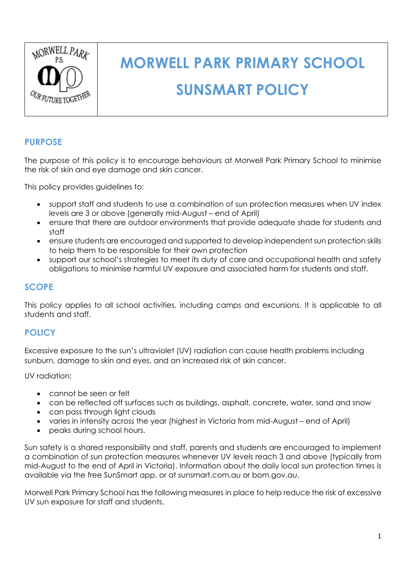

# **MORWELL PARK PRIMARY SCHOOL SUNSMART POLICY**

## **PURPOSE**

The purpose of this policy is to encourage behaviours at Morwell Park Primary School to minimise the risk of skin and eye damage and skin cancer.

This policy provides guidelines to:

- support staff and students to use a combination of sun protection measures when UV index levels are 3 or above (generally mid-August – end of April)
- ensure that there are outdoor environments that provide adequate shade for students and staff
- ensure students are encouraged and supported to develop independent sun protection skills to help them to be responsible for their own protection
- support our school's strategies to meet its duty of care and occupational health and safety obligations to minimise harmful UV exposure and associated harm for students and staff.

#### **SCOPE**

This policy applies to all school activities, including camps and excursions. It is applicable to all students and staff.

#### **POLICY**

Excessive exposure to the sun's ultraviolet (UV) radiation can cause health problems including sunburn, damage to skin and eyes, and an increased risk of skin cancer.

UV radiation:

- cannot be seen or felt
- can be reflected off surfaces such as buildings, asphalt, concrete, water, sand and snow
- can pass through light clouds
- varies in intensity across the year (highest in Victoria from mid-August end of April)
- peaks during school hours.

Sun safety is a shared responsibility and staff, parents and students are encouraged to implement a combination of sun protection measures whenever UV levels reach 3 and above (typically from mid-August to the end of April in Victoria). Information about the daily local sun protection times is available via the free [SunSmart app,](http://www.sunsmart.com.au/tools/interactive-tools/free-sunsmart-app) or at [sunsmart.com.au](http://www.sunsmart.com.au/) or bom.gov.au.

Morwell Park Primary School has the following measures in place to help reduce the risk of excessive UV sun exposure for staff and students.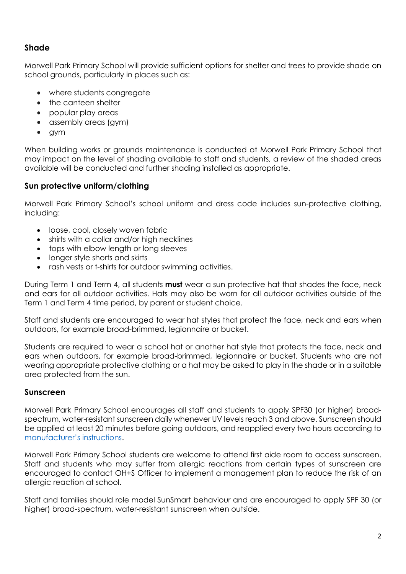# **Shade**

Morwell Park Primary School will provide sufficient options for shelter and trees to provide shade on school grounds, particularly in places such as:

- where students congregate
- the canteen shelter
- popular play areas
- assembly areas (gym)
- gym

When building works or grounds maintenance is conducted at Morwell Park Primary School that may impact on the level of shading available to staff and students, a review of the shaded areas available will be conducted and further shading installed as appropriate.

#### **Sun protective uniform/clothing**

Morwell Park Primary School's school uniform and dress code includes sun-protective clothing, including:

- loose, cool, closely woven fabric
- shirts with a collar and/or high necklines
- tops with elbow length or long sleeves
- longer style shorts and skirts
- rash vests or t-shirts for outdoor swimming activities.

During Term 1 and Term 4, all students **must** wear a sun protective hat that shades the face, neck and ears for all outdoor activities. Hats may also be worn for all outdoor activities outside of the Term 1 and Term 4 time period, by parent or student choice.

Staff and students are encouraged to wear hat styles that protect the face, neck and ears when outdoors, for example broad-brimmed, legionnaire or bucket.

Students are required to wear a school hat or another hat style that protects the face, neck and ears when outdoors, for example broad-brimmed, legionnaire or bucket. Students who are not wearing appropriate protective clothing or a hat may be asked to play in the shade or in a suitable area protected from the sun.

#### **Sunscreen**

Morwell Park Primary School encourages all staff and students to apply SPF30 (or higher) broadspectrum, water-resistant sunscreen daily whenever UV levels reach 3 and above. Sunscreen should be applied at least 20 minutes before going outdoors, and reapplied every two hours according to [manufacturer's instructions](https://www.tga.gov.au/book/4-labelling-and-advertising).

Morwell Park Primary School students are welcome to attend first aide room to access sunscreen. Staff and students who may suffer from allergic reactions from certain types of sunscreen are encouraged to contact OH+S Officer to implement a management plan to reduce the risk of an allergic reaction at school.

Staff and families should role model SunSmart behaviour and are encouraged to apply SPF 30 (or higher) broad-spectrum, water-resistant sunscreen when outside.